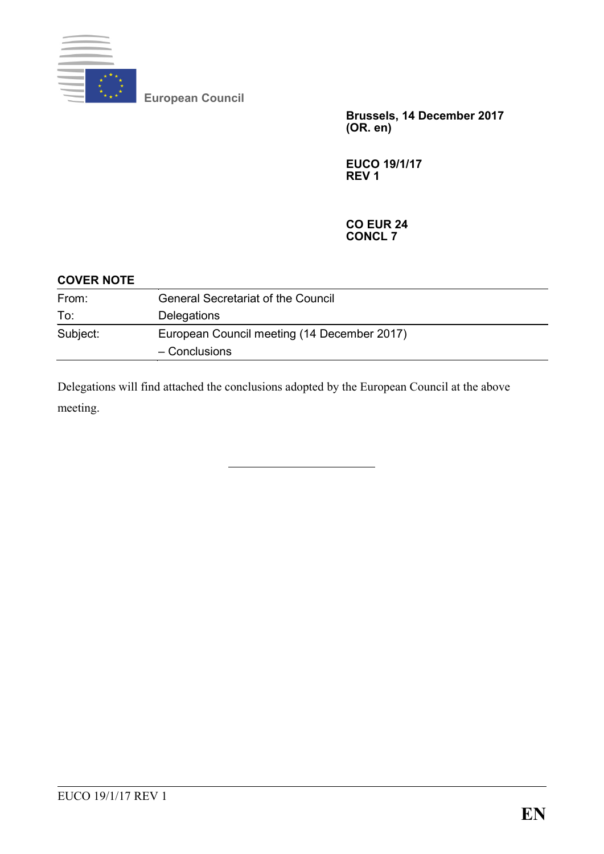

**European Council**

**Brussels, 14 December 2017 (OR. en)**

**EUCO 19/1/17 REV 1**

#### **CO EUR 24 CONCL 7**

| <b>COVER NOTE</b> |                                             |
|-------------------|---------------------------------------------|
| From:             | <b>General Secretariat of the Council</b>   |
| To:               | <b>Delegations</b>                          |
| Subject:          | European Council meeting (14 December 2017) |
|                   | $-$ Conclusions                             |

Delegations will find attached the conclusions adopted by the European Council at the above meeting.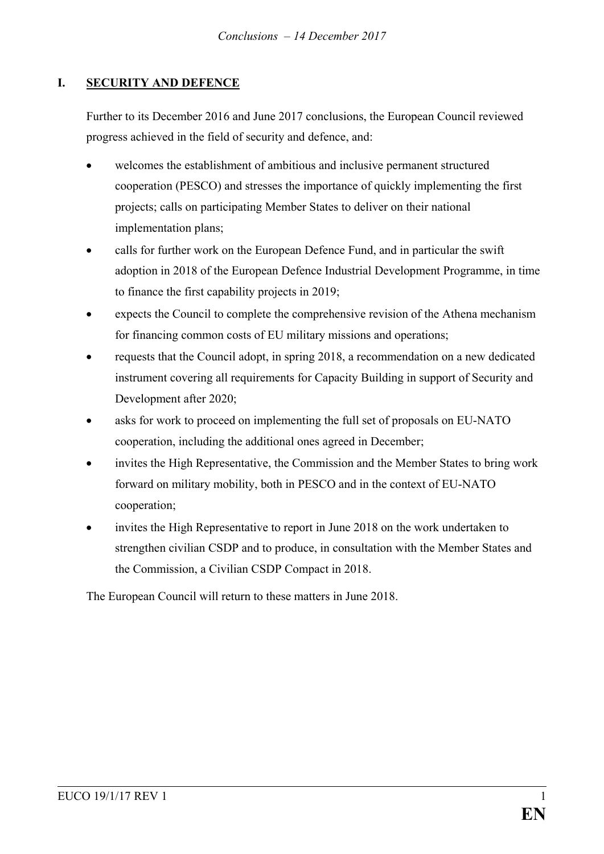# **I. SECURITY AND DEFENCE**

Further to its December 2016 and June 2017 conclusions, the European Council reviewed progress achieved in the field of security and defence, and:

- welcomes the establishment of ambitious and inclusive permanent structured cooperation (PESCO) and stresses the importance of quickly implementing the first projects; calls on participating Member States to deliver on their national implementation plans;
- calls for further work on the European Defence Fund, and in particular the swift adoption in 2018 of the European Defence Industrial Development Programme, in time to finance the first capability projects in 2019;
- expects the Council to complete the comprehensive revision of the Athena mechanism for financing common costs of EU military missions and operations;
- requests that the Council adopt, in spring 2018, a recommendation on a new dedicated instrument covering all requirements for Capacity Building in support of Security and Development after 2020;
- asks for work to proceed on implementing the full set of proposals on EU-NATO cooperation, including the additional ones agreed in December;
- invites the High Representative, the Commission and the Member States to bring work forward on military mobility, both in PESCO and in the context of EU-NATO cooperation;
- invites the High Representative to report in June 2018 on the work undertaken to strengthen civilian CSDP and to produce, in consultation with the Member States and the Commission, a Civilian CSDP Compact in 2018.

The European Council will return to these matters in June 2018.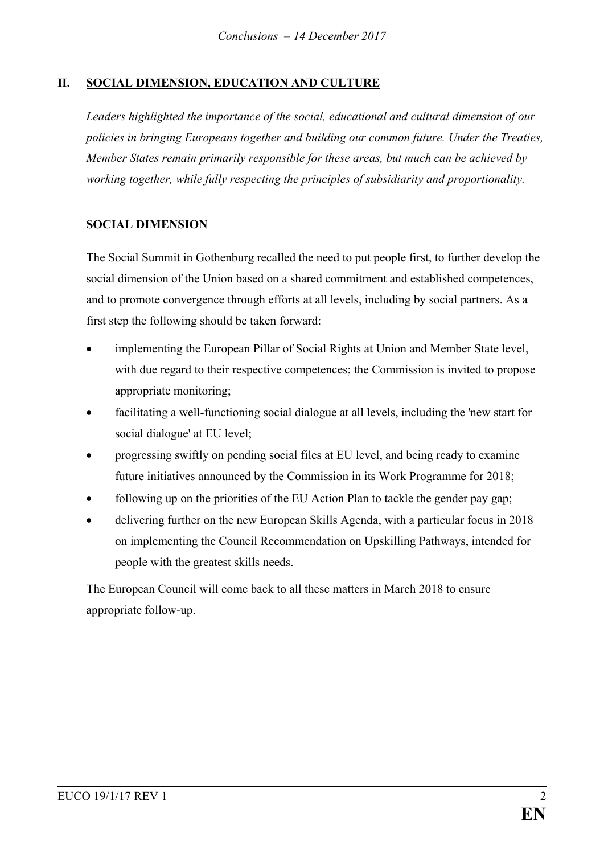# **II. SOCIAL DIMENSION, EDUCATION AND CULTURE**

*Leaders highlighted the importance of the social, educational and cultural dimension of our policies in bringing Europeans together and building our common future. Under the Treaties, Member States remain primarily responsible for these areas, but much can be achieved by working together, while fully respecting the principles of subsidiarity and proportionality.*

### **SOCIAL DIMENSION**

The Social Summit in Gothenburg recalled the need to put people first, to further develop the social dimension of the Union based on a shared commitment and established competences, and to promote convergence through efforts at all levels, including by social partners. As a first step the following should be taken forward:

- implementing the European Pillar of Social Rights at Union and Member State level, with due regard to their respective competences; the Commission is invited to propose appropriate monitoring;
- facilitating a well-functioning social dialogue at all levels, including the 'new start for social dialogue' at EU level;
- progressing swiftly on pending social files at EU level, and being ready to examine future initiatives announced by the Commission in its Work Programme for 2018;
- following up on the priorities of the EU Action Plan to tackle the gender pay gap;
- delivering further on the new European Skills Agenda, with a particular focus in 2018 on implementing the Council Recommendation on Upskilling Pathways, intended for people with the greatest skills needs.

The European Council will come back to all these matters in March 2018 to ensure appropriate follow-up.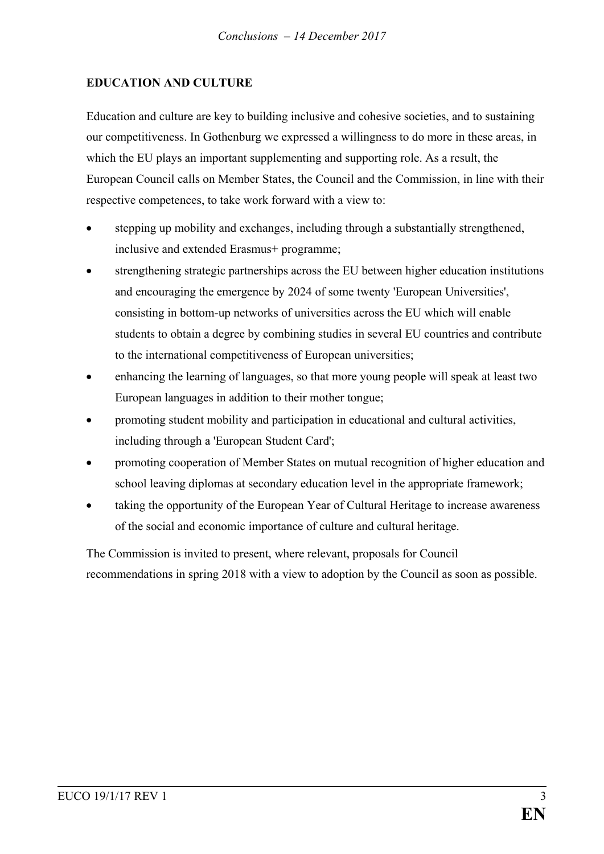### **EDUCATION AND CULTURE**

Education and culture are key to building inclusive and cohesive societies, and to sustaining our competitiveness. In Gothenburg we expressed a willingness to do more in these areas, in which the EU plays an important supplementing and supporting role. As a result, the European Council calls on Member States, the Council and the Commission, in line with their respective competences, to take work forward with a view to:

- stepping up mobility and exchanges, including through a substantially strengthened, inclusive and extended Erasmus+ programme;
- strengthening strategic partnerships across the EU between higher education institutions and encouraging the emergence by 2024 of some twenty 'European Universities', consisting in bottom-up networks of universities across the EU which will enable students to obtain a degree by combining studies in several EU countries and contribute to the international competitiveness of European universities;
- enhancing the learning of languages, so that more young people will speak at least two European languages in addition to their mother tongue;
- promoting student mobility and participation in educational and cultural activities, including through a 'European Student Card';
- promoting cooperation of Member States on mutual recognition of higher education and school leaving diplomas at secondary education level in the appropriate framework;
- taking the opportunity of the European Year of Cultural Heritage to increase awareness of the social and economic importance of culture and cultural heritage.

The Commission is invited to present, where relevant, proposals for Council recommendations in spring 2018 with a view to adoption by the Council as soon as possible.